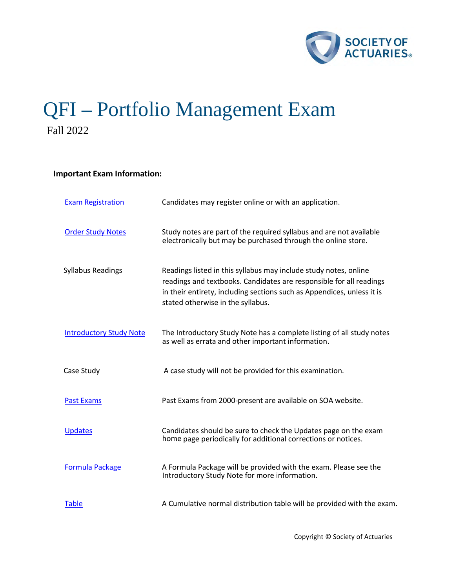

# QFI – Portfolio Management Exam Fall 2022

# **Important Exam Information:**

| <b>Exam Registration</b>       | Candidates may register online or with an application.                                                                                                                                                                                                 |
|--------------------------------|--------------------------------------------------------------------------------------------------------------------------------------------------------------------------------------------------------------------------------------------------------|
| <b>Order Study Notes</b>       | Study notes are part of the required syllabus and are not available<br>electronically but may be purchased through the online store.                                                                                                                   |
| <b>Syllabus Readings</b>       | Readings listed in this syllabus may include study notes, online<br>readings and textbooks. Candidates are responsible for all readings<br>in their entirety, including sections such as Appendices, unless it is<br>stated otherwise in the syllabus. |
| <b>Introductory Study Note</b> | The Introductory Study Note has a complete listing of all study notes<br>as well as errata and other important information.                                                                                                                            |
| Case Study                     | A case study will not be provided for this examination.                                                                                                                                                                                                |
| <b>Past Exams</b>              | Past Exams from 2000-present are available on SOA website.                                                                                                                                                                                             |
| <b>Updates</b>                 | Candidates should be sure to check the Updates page on the exam<br>home page periodically for additional corrections or notices.                                                                                                                       |
| <b>Formula Package</b>         | A Formula Package will be provided with the exam. Please see the<br>Introductory Study Note for more information.                                                                                                                                      |
| <b>Table</b>                   | A Cumulative normal distribution table will be provided with the exam.                                                                                                                                                                                 |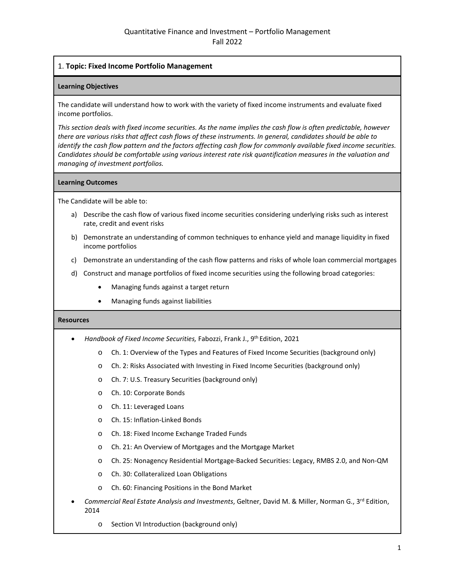# 1. **Topic: Fixed Income Portfolio Management**

#### **Learning Objectives**

The candidate will understand how to work with the variety of fixed income instruments and evaluate fixed income portfolios.

*This section deals with fixed income securities. As the name implies the cash flow is often predictable, however there are various risks that affect cash flows of these instruments. In general, candidates should be able to identify the cash flow pattern and the factors affecting cash flow for commonly available fixed income securities. Candidates should be comfortable using various interest rate risk quantification measures in the valuation and managing of investment portfolios.* 

#### **Learning Outcomes**

The Candidate will be able to:

- a) Describe the cash flow of various fixed income securities considering underlying risks such as interest rate, credit and event risks
- b) Demonstrate an understanding of common techniques to enhance yield and manage liquidity in fixed income portfolios
- c) Demonstrate an understanding of the cash flow patterns and risks of whole loan commercial mortgages
- d) Construct and manage portfolios of fixed income securities using the following broad categories:
	- Managing funds against a target return
	- Managing funds against liabilities

- *Handbook of Fixed Income Securities,* Fabozzi, Frank J., 9th Edition, 2021
	- o Ch. 1: Overview of the Types and Features of Fixed Income Securities (background only)
	- o Ch. 2: Risks Associated with Investing in Fixed Income Securities (background only)
	- o Ch. 7: U.S. Treasury Securities (background only)
	- o Ch. 10: Corporate Bonds
	- o Ch. 11: Leveraged Loans
	- o Ch. 15: Inflation-Linked Bonds
	- o Ch. 18: Fixed Income Exchange Traded Funds
	- o Ch. 21: An Overview of Mortgages and the Mortgage Market
	- o Ch. 25: Nonagency Residential Mortgage-Backed Securities: Legacy, RMBS 2.0, and Non-QM
	- o Ch. 30: Collateralized Loan Obligations
	- o Ch. 60: Financing Positions in the Bond Market
- *Commercial Real Estate Analysis and Investments*, Geltner, David M. & Miller, Norman G., 3rd Edition, 2014
	- o Section VI Introduction (background only)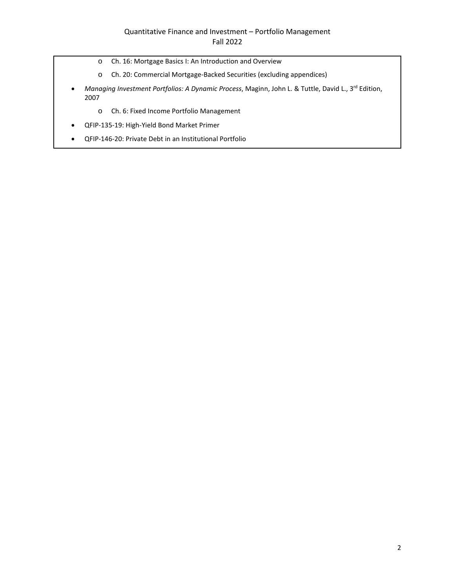- o Ch. 16: Mortgage Basics I: An Introduction and Overview
- o Ch. 20: Commercial Mortgage-Backed Securities (excluding appendices)
- Managing Investment Portfolios: A Dynamic Process, Maginn, John L. & Tuttle, David L., 3<sup>rd</sup> Edition, 2007
	- o Ch. 6: Fixed Income Portfolio Management
- QFIP-135-19: High-Yield Bond Market Primer
- QFIP-146-20: Private Debt in an Institutional Portfolio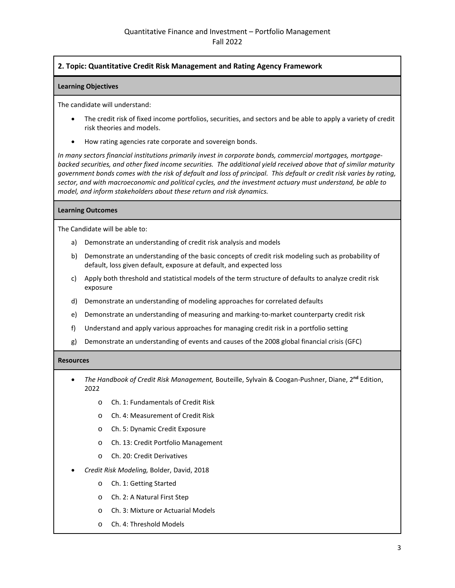# **2. Topic: Quantitative Credit Risk Management and Rating Agency Framework**

# **Learning Objectives**

The candidate will understand:

- The credit risk of fixed income portfolios, securities, and sectors and be able to apply a variety of credit risk theories and models.
- How rating agencies rate corporate and sovereign bonds.

*In many sectors financial institutions primarily invest in corporate bonds, commercial mortgages, mortgagebacked securities, and other fixed income securities. The additional yield received above that of similar maturity government bonds comes with the risk of default and loss of principal. This default or credit risk varies by rating, sector, and with macroeconomic and political cycles, and the investment actuary must understand, be able to model, and inform stakeholders about these return and risk dynamics.*

#### **Learning Outcomes**

The Candidate will be able to:

- a) Demonstrate an understanding of credit risk analysis and models
- b) Demonstrate an understanding of the basic concepts of credit risk modeling such as probability of default, loss given default, exposure at default, and expected loss
- c) Apply both threshold and statistical models of the term structure of defaults to analyze credit risk exposure
- d) Demonstrate an understanding of modeling approaches for correlated defaults
- e) Demonstrate an understanding of measuring and marking-to-market counterparty credit risk
- f) Understand and apply various approaches for managing credit risk in a portfolio setting
- g) Demonstrate an understanding of events and causes of the 2008 global financial crisis (GFC)

- *The Handbook of Credit Risk Management,* Bouteille, Sylvain & Coogan-Pushner, Diane, 2**nd** Edition, 2022
	- o Ch. 1: Fundamentals of Credit Risk
	- o Ch. 4: Measurement of Credit Risk
	- o Ch. 5: Dynamic Credit Exposure
	- o Ch. 13: Credit Portfolio Management
	- o Ch. 20: Credit Derivatives
- *Credit Risk Modeling,* Bolder, David, 2018
	- o Ch. 1: Getting Started
	- o Ch. 2: A Natural First Step
	- o Ch. 3: Mixture or Actuarial Models
	- o Ch. 4: Threshold Models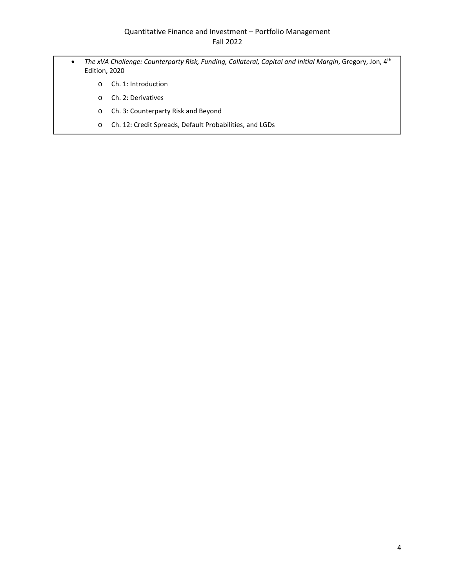- *The xVA Challenge: Counterparty Risk, Funding, Collateral, Capital and Initial Margin*, Gregory, Jon, 4th Edition, 2020
	- o Ch. 1: Introduction
	- o Ch. 2: Derivatives
	- o Ch. 3: Counterparty Risk and Beyond
	- o Ch. 12: Credit Spreads, Default Probabilities, and LGDs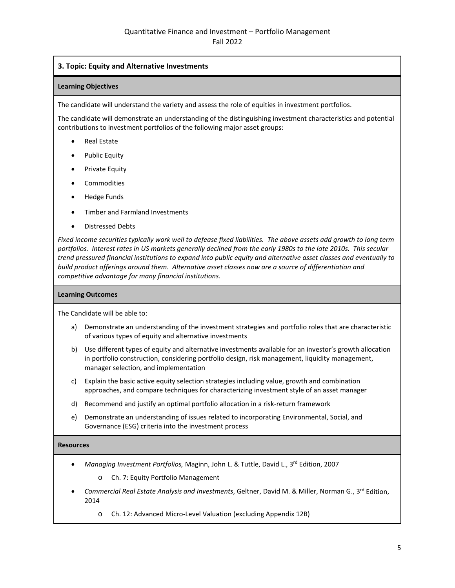# **3. Topic: Equity and Alternative Investments**

## **Learning Objectives**

The candidate will understand the variety and assess the role of equities in investment portfolios.

The candidate will demonstrate an understanding of the distinguishing investment characteristics and potential contributions to investment portfolios of the following major asset groups:

- Real Estate
- Public Equity
- Private Equity
- Commodities
- Hedge Funds
- Timber and Farmland Investments
- Distressed Debts

*Fixed income securities typically work well to defease fixed liabilities. The above assets add growth to long term*  portfolios. Interest rates in US markets generally declined from the early 1980s to the late 2010s. This secular *trend pressured financial institutions to expand into public equity and alternative asset classes and eventually to build product offerings around them. Alternative asset classes now are a source of differentiation and competitive advantage for many financial institutions.*

## **Learning Outcomes**

The Candidate will be able to:

- a) Demonstrate an understanding of the investment strategies and portfolio roles that are characteristic of various types of equity and alternative investments
- b) Use different types of equity and alternative investments available for an investor's growth allocation in portfolio construction, considering portfolio design, risk management, liquidity management, manager selection, and implementation
- c) Explain the basic active equity selection strategies including value, growth and combination approaches, and compare techniques for characterizing investment style of an asset manager
- d) Recommend and justify an optimal portfolio allocation in a risk-return framework
- e) Demonstrate an understanding of issues related to incorporating Environmental, Social, and Governance (ESG) criteria into the investment process

- *Managing Investment Portfolios,* Maginn, John L. & Tuttle, David L., 3rd Edition, 2007
	- o Ch. 7: Equity Portfolio Management
- *Commercial Real Estate Analysis and Investments*, Geltner, David M. & Miller, Norman G., 3rd Edition, 2014
	- o Ch. 12: Advanced Micro-Level Valuation (excluding Appendix 12B)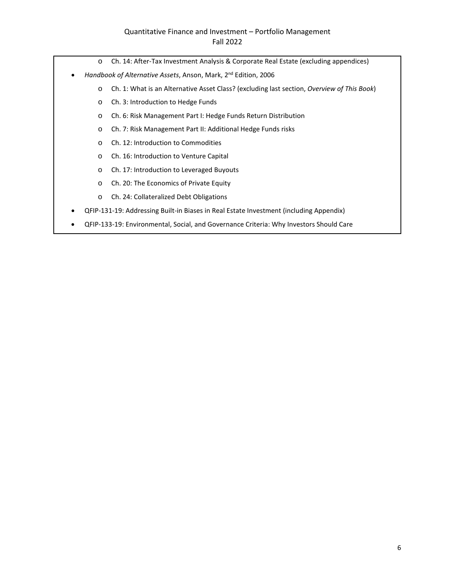# Quantitative Finance and Investment – Portfolio Management Fall 2022

- o Ch. 14: After-Tax Investment Analysis & Corporate Real Estate (excluding appendices)
- *Handbook of Alternative Assets*, Anson, Mark, 2nd Edition, 2006
	- o Ch. 1: What is an Alternative Asset Class? (excluding last section, *Overview of This Book*)
	- o Ch. 3: Introduction to Hedge Funds
	- o Ch. 6: Risk Management Part I: Hedge Funds Return Distribution
	- o Ch. 7: Risk Management Part II: Additional Hedge Funds risks
	- o Ch. 12: Introduction to Commodities
	- o Ch. 16: Introduction to Venture Capital
	- o Ch. 17: Introduction to Leveraged Buyouts
	- o Ch. 20: The Economics of Private Equity
	- o Ch. 24: Collateralized Debt Obligations
- QFIP-131-19: Addressing Built-in Biases in Real Estate Investment (including Appendix)
- QFIP-133-19: Environmental, Social, and Governance Criteria: Why Investors Should Care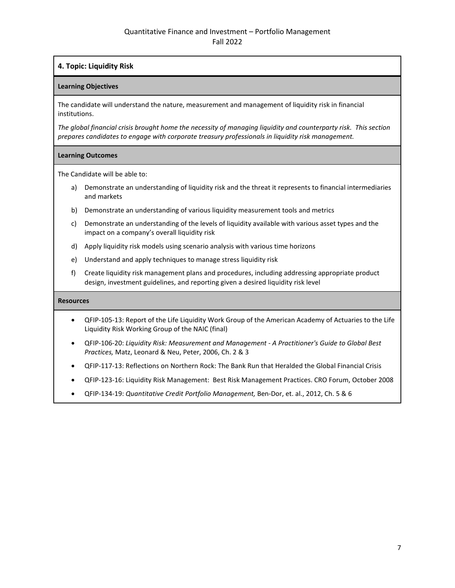# **4. Topic: Liquidity Risk**

# **Learning Objectives**

The candidate will understand the nature, measurement and management of liquidity risk in financial institutions.

*The global financial crisis brought home the necessity of managing liquidity and counterparty risk. This section prepares candidates to engage with corporate treasury professionals in liquidity risk management.*

# **Learning Outcomes**

The Candidate will be able to:

- a) Demonstrate an understanding of liquidity risk and the threat it represents to financial intermediaries and markets
- b) Demonstrate an understanding of various liquidity measurement tools and metrics
- c) Demonstrate an understanding of the levels of liquidity available with various asset types and the impact on a company's overall liquidity risk
- d) Apply liquidity risk models using scenario analysis with various time horizons
- e) Understand and apply techniques to manage stress liquidity risk
- f) Create liquidity risk management plans and procedures, including addressing appropriate product design, investment guidelines, and reporting given a desired liquidity risk level

- QFIP-105-13: Report of the Life Liquidity Work Group of the American Academy of Actuaries to the Life Liquidity Risk Working Group of the NAIC (final)
- QFIP-106-20: *Liquidity Risk: Measurement and Management A Practitioner's Guide to Global Best Practices,* Matz, Leonard & Neu, Peter, 2006, Ch. 2 & 3
- QFIP-117-13: Reflections on Northern Rock: The Bank Run that Heralded the Global Financial Crisis
- QFIP-123-16: Liquidity Risk Management: Best Risk Management Practices. CRO Forum, October 2008
- QFIP-134-19: *Quantitative Credit Portfolio Management,* Ben-Dor, et. al., 2012, Ch. 5 & 6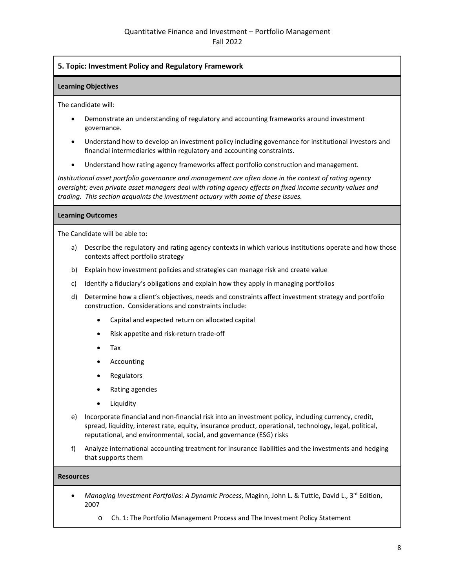# **5. Topic: Investment Policy and Regulatory Framework**

## **Learning Objectives**

The candidate will:

- Demonstrate an understanding of regulatory and accounting frameworks around investment governance.
- Understand how to develop an investment policy including governance for institutional investors and financial intermediaries within regulatory and accounting constraints.
- Understand how rating agency frameworks affect portfolio construction and management.

*Institutional asset portfolio governance and management are often done in the context of rating agency oversight; even private asset managers deal with rating agency effects on fixed income security values and trading. This section acquaints the investment actuary with some of these issues.*

# **Learning Outcomes**

The Candidate will be able to:

- a) Describe the regulatory and rating agency contexts in which various institutions operate and how those contexts affect portfolio strategy
- b) Explain how investment policies and strategies can manage risk and create value
- c) Identify a fiduciary's obligations and explain how they apply in managing portfolios
- d) Determine how a client's objectives, needs and constraints affect investment strategy and portfolio construction. Considerations and constraints include:
	- Capital and expected return on allocated capital
	- Risk appetite and risk-return trade-off
	- Tax
	- Accounting
	- Regulators
	- Rating agencies
	- Liquidity
- e) Incorporate financial and non-financial risk into an investment policy, including currency, credit, spread, liquidity, interest rate, equity, insurance product, operational, technology, legal, political, reputational, and environmental, social, and governance (ESG) risks
- f) Analyze international accounting treatment for insurance liabilities and the investments and hedging that supports them

- *Managing Investment Portfolios: A Dynamic Process*, Maginn, John L. & Tuttle, David L., 3rd Edition, 2007
	- o Ch. 1: The Portfolio Management Process and The Investment Policy Statement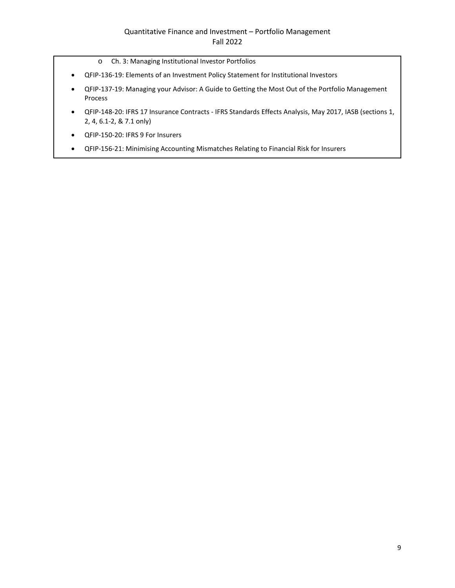- o Ch. 3: Managing Institutional Investor Portfolios
- QFIP-136-19: Elements of an Investment Policy Statement for Institutional Investors
- QFIP-137-19: Managing your Advisor: A Guide to Getting the Most Out of the Portfolio Management Process
- QFIP-148-20: IFRS 17 Insurance Contracts IFRS Standards Effects Analysis, May 2017, IASB (sections 1, 2, 4, 6.1-2, & 7.1 only)
- QFIP-150-20: IFRS 9 For Insurers
- QFIP-156-21: Minimising Accounting Mismatches Relating to Financial Risk for Insurers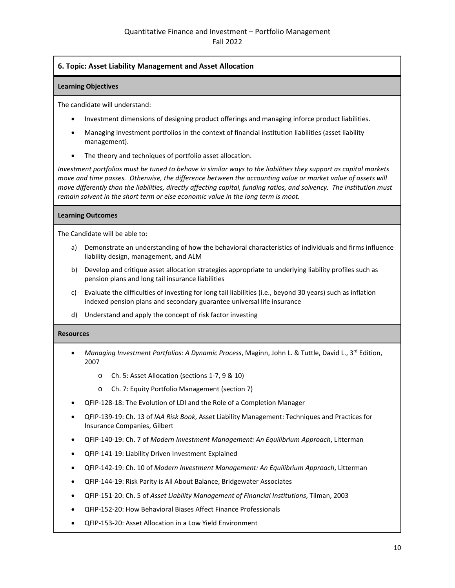# **6. Topic: Asset Liability Management and Asset Allocation**

#### **Learning Objectives**

The candidate will understand:

- Investment dimensions of designing product offerings and managing inforce product liabilities.
- Managing investment portfolios in the context of financial institution liabilities (asset liability management).
- The theory and techniques of portfolio asset allocation.

*Investment portfolios must be tuned to behave in similar ways to the liabilities they support as capital markets move and time passes. Otherwise, the difference between the accounting value or market value of assets will move differently than the liabilities, directly affecting capital, funding ratios, and solvency. The institution must remain solvent in the short term or else economic value in the long term is moot.*

#### **Learning Outcomes**

The Candidate will be able to:

- a) Demonstrate an understanding of how the behavioral characteristics of individuals and firms influence liability design, management, and ALM
- b) Develop and critique asset allocation strategies appropriate to underlying liability profiles such as pension plans and long tail insurance liabilities
- c) Evaluate the difficulties of investing for long tail liabilities (i.e., beyond 30 years) such as inflation indexed pension plans and secondary guarantee universal life insurance
- d) Understand and apply the concept of risk factor investing

- *Managing Investment Portfolios: A Dynamic Process, Maginn, John L. & Tuttle, David L., 3<sup>rd</sup> Edition,* 2007
	- o Ch. 5: Asset Allocation (sections 1-7, 9 & 10)
	- o Ch. 7: Equity Portfolio Management (section 7)
- QFIP-128-18: The Evolution of LDI and the Role of a Completion Manager
- QFIP-139-19: Ch. 13 of *IAA Risk Book*, Asset Liability Management: Techniques and Practices for Insurance Companies, Gilbert
- QFIP-140-19: Ch. 7 of *Modern Investment Management: An Equilibrium Approach*, Litterman
- QFIP-141-19: Liability Driven Investment Explained
- QFIP-142-19: Ch. 10 of *Modern Investment Management: An Equilibrium Approach*, Litterman
- QFIP-144-19: Risk Parity is All About Balance, Bridgewater Associates
- QFIP-151-20: Ch. 5 of *Asset Liability Management of Financial Institutions*, Tilman, 2003
- QFIP-152-20: How Behavioral Biases Affect Finance Professionals
- QFIP-153-20: Asset Allocation in a Low Yield Environment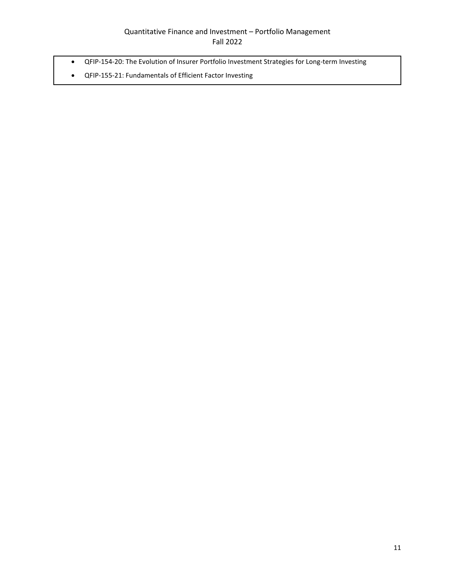- QFIP-154-20: The Evolution of Insurer Portfolio Investment Strategies for Long-term Investing
- QFIP-155-21: Fundamentals of Efficient Factor Investing